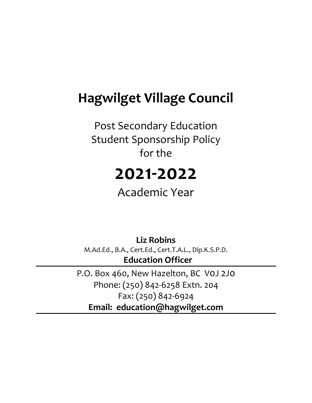## **Hagwilget Village Council**

Post Secondary Education Student Sponsorship Policy for the

# **2021-2022**

Academic Year

**Liz Robins** M.Ad.Ed., B.A., Cert.Ed., Cert.T.A.L., Dip.K.S.P.D. **Education Officer**

P.O. Box 460, New Hazelton, BC V0J 2J0 Phone: (250) 842-6258 Extn. 204 Fax: (250) 842-6924 **Email: education@hagwilget.com**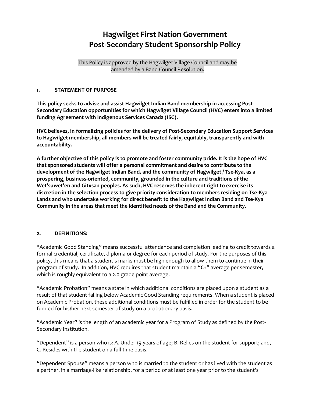### **Hagwilget First Nation Government Post-Secondary Student Sponsorship Policy**

This Policy is approved by the Hagwilget Village Council and may be amended by a Band Council Resolution.

#### **1. STATEMENT OF PURPOSE**

**This policy seeks to advise and assist Hagwilget Indian Band membership in accessing Post-Secondary Education opportunities for which Hagwilget Village Council (HVC) enters into a limited funding Agreement with Indigenous Services Canada (ISC).**

**HVC believes, in formalizing policies for the delivery of Post-Secondary Education Support Services to Hagwilget membership, all members will be treated fairly, equitably, transparently and with accountability.** 

**A further objective of this policy is to promote and foster community pride. It is the hope of HVC that sponsored students will offer a personal commitment and desire to contribute to the development of the Hagwilget Indian Band, and the community of Hagwilget / Tse-Kya, as a prospering, business-oriented, community, grounded in the culture and traditions of the Wet'suwet'en and Gitxsan peoples. As such, HVC reserves the inherent right to exercise its discretion in the selection process to give priority consideration to members residing on Tse-Kya Lands and who undertake working for direct benefit to the Hagwilget Indian Band and Tse-Kya Community in the areas that meet the identified needs of the Band and the Community.** 

#### **2. DEFINITIONS:**

"Academic Good Standing" means successful attendance and completion leading to credit towards a formal credential, certificate, diploma or degree for each period of study. For the purposes of this policy, this means that a student's marks must be high enough to allow them to continue in their program of study. In addition, HVC requires that student maintain a **"C+"** average per semester, which is roughly equivalent to a 2.0 grade point average.

"Academic Probation" means a state in which additional conditions are placed upon a student as a result of that student falling below Academic Good Standing requirements. When a student is placed on Academic Probation, these additional conditions must be fulfilled in order for the student to be funded for his/her next semester of study on a probationary basis.

"Academic Year" is the length of an academic year for a Program of Study as defined by the Post-Secondary Institution.

"Dependent" is a person who is: A. Under 19 years of age; B. Relies on the student for support; and, C. Resides with the student on a full-time basis.

"Dependent Spouse" means a person who is married to the student or has lived with the student as a partner, in a marriage-like relationship, for a period of at least one year prior to the student's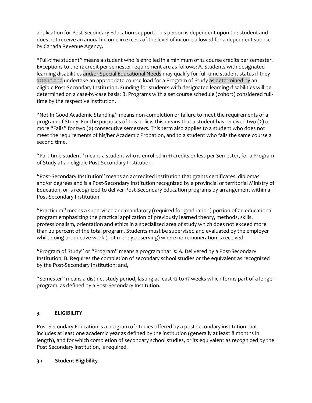application for Post-Secondary Education support. This person is dependent upon the student and does not receive an annual income in excess of the level of income allowed for a dependent spouse by Canada Revenue Agency.

"Full-time student" means a student who is enrolled in a minimum of 12 course credits per semester. Exceptions to the 12 credit per semester requirement are as follows: A. Students with designated learning disabilities and/or Special Educational Needs may qualify for full-time student status if they attend and undertake an appropriate course load for a Program of Study as determined by an eligible Post-Secondary Institution. Funding for students with designated learning disabilities will be determined on a case-by-case basis; B. Programs with a set course schedule (cohort) considered fulltime by the respective institution.

"Not In Good Academic Standing" means non-completion or failure to meet the requirements of a program of Study. For the purposes of this policy, this means that a student has received two (2) or more "Fails" for two (2) consecutive semesters. This term also applies to a student who does not meet the requirements of his/her Academic Probation, and to a student who fails the same course a second time.

"Part-time student" means a student who is enrolled in 11 credits or less per Semester, for a Program of Study at an eligible Post-Secondary Institution.

"Post-Secondary Institution" means an accredited institution that grants certificates, diplomas and/or degrees and is a Post-Secondary Institution recognized by a provincial or territorial Ministry of Education, or is recognized to deliver Post-Secondary Education programs by arrangement within a Post-Secondary Institution.

"Practicum" means a supervised and mandatory (required for graduation) portion of an educational program emphasizing the practical application of previously learned theory, methods, skills, professionalism, orientation and ethics in a specialized area of study which does not exceed more than 20 percent of the total program. Students must be supervised and evaluated by the employer while doing productive work (not merely observing) where no remuneration is received.

"Program of Study" or "Program" means a program that is: A. Delivered by a Post-Secondary Institution; B. Requires the completion of secondary school studies or the equivalent as recognized by the Post-Secondary Institution; and,

"Semester" means a distinct study period, lasting at least 12 to 17 weeks which forms part of a longer program, as defined by a Post-Secondary Institution.

#### **3. ELIGIBILITY**

Post Secondary Education is a program of studies offered by a post-secondary institution that includes at least one academic year as defined by the institution (generally at least 8 months in length), and for which completion of secondary school studies, or its equivalent as recognized by the Post Secondary institution, is required.

#### **3.1 Student Eligibility**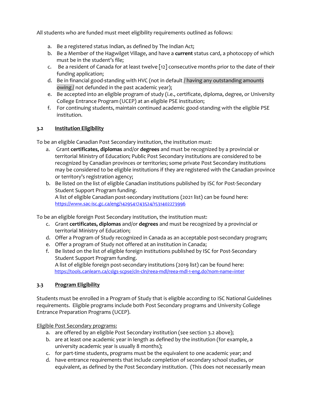All students who are funded must meet eligibility requirements outlined as follows:

- a. Be a registered status Indian, as defined by The Indian Act;
- b. Be a Member of the Hagwilget Village, and have a **current** status card, a photocopy of which must be in the student's file;
- c. Be a resident of Canada for at least twelve [12] consecutive months prior to the date of their funding application;
- d. Be in financial good-standing with HVC (not in default / having any outstanding amounts owing / not defunded in the past academic year);
- e. Be accepted into an eligible program of study (i.e., certificate, diploma, degree, or University College Entrance Program (UCEP) at an eligible PSE institution;
- f. For continuing students, maintain continued academic good-standing with the eligible PSE institution.

#### **3.2 Institution Eligibility**

To be an eligible Canadian Post Secondary institution, the institution must:

- a. Grant **certificates, diplomas** and/or **degrees** and must be recognized by a provincial or territorial Ministry of Education; Public Post Secondary institutions are considered to be recognized by Canadian provinces or territories; some private Post Secondary institutions may be considered to be eligible institutions if they are registered with the Canadian province or territory's registration agency;
- b. Be listed on the list of eligible Canadian institutions published by ISC for Post-Secondary Student Support Program funding. A list of eligible Canadian post-secondary institutions (2021 list) can be found here: <https://www.sac-isc.gc.ca/eng/1429541743524/1531402273996>

To be an eligible foreign Post Secondary institution, the institution must:

- c. Grant **certificates, diplomas** and/or **degrees** and must be recognized by a provincial or territorial Ministry of Education;
- d. Offer a Program of Study recognized in Canada as an acceptable post-secondary program;
- e. Offer a program of Study not offered at an institution in Canada;
- f. Be listed on the list of eligible foreign institutions published by ISC for Post-Secondary Student Support Program funding. A list of eligible foreign post-secondary institutions (2019 list) can be found here: <https://tools.canlearn.ca/cslgs-scpse/cln-cln/reea-mdl/reea-mdl-1-eng.do?nom-name=inter>

#### **3.3 Program Eligibility**

Students must be enrolled in a Program of Study that is eligible according to ISC National Guidelines requirements. Eligible programs include both Post Secondary programs and University College Entrance Preparation Programs (UCEP).

Eligible Post Secondary programs:

- a. are offered by an eligible Post Secondary institution (see section 3.2 above);
- b. are at least one academic year in length as defined by the institution (for example, a university academic year is usually 8 months);
- c. for part-time students, programs must be the equivalent to one academic year; and
- d. have entrance requirements that include completion of secondary school studies, or equivalent, as defined by the Post Secondary institution. (This does not necessarily mean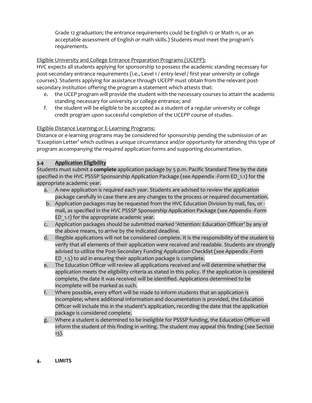Grade 12 graduation; the entrance requirements could be English 12 or Math 11, or an acceptable assessment of English or math skills.) Students must meet the program's requirements.

#### Eligible University and College Entrance Preparation Programs (UCEPP):

HVC expects all students applying for sponsorship to possess the academic standing necessary for post-secondary entrance requirements (i.e., Level 1 / entry-level / first year university or college courses). Students applying for assistance through UCEPP must obtain from the relevant postsecondary institution offering the program a statement which attests that:

- e. the UCEP program will provide the student with the necessary courses to attain the academic standing necessary for university or college entrance; and
- f. the student will be eligible to be accepted as a student of a regular university or college credit program upon successful completion of the UCEPP course of studies.

#### Eligible Distance Learning or E-Learning Programs:

Distance or e-learning programs may be considered for sponsorship pending the submission of an 'Exception Letter' which outlines a unique circumstance and/or opportunity for attending this type of program accompanying the required application forms and supporting documentation.

#### **3.4 Application Eligibility**

Students must submit a **complete** application package by 5 p.m. Pacific Standard Time by the date specified in the HVC PSSSP Sponsorship Application Package (see Appendix -Form ED\_1.1) for the appropriate academic year.

- a. A new application is required each year. Students are advised to review the application package carefully in case there are any changes to the process or required documentation.
- b. Application packages may be requested from the HVC Education Division by mail, fax, or mail, as specified in the HVC PSSSP Sponsorship Application Package (see Appendix -Form ED 1.1) for the appropriate academic year.
- c. Application packages should be submitted marked 'Attention: Education Officer' by any of the above means, to arrive by the indicated deadline.
- d. Illegible applications will not be considered complete. It is the responsibility of the student to verify that all elements of their application were received and readable. Students are strongly advised to utilize the Post-Secondary Funding Application Checklist (see Appendix -Form ED\_1.5) to aid in ensuring their application package is complete.
- e. The Education Officer will review all applications received and will determine whether the application meets the eligibility criteria as stated in this policy. If the application is considered complete, the date it was received will be identified. Applications determined to be incomplete will be marked as such.
- f. Where possible, every effort will be made to inform students that an application is incomplete; where additional information and documentation is provided, the Education Officer will include this in the student's application, recording the date that the application package is considered complete.
- g. Where a student is determined to be ineligible for PSSSP funding, the Education Officer will inform the student of this finding in writing. The student may appeal this finding (see Section 13).

#### **4. LIMITS**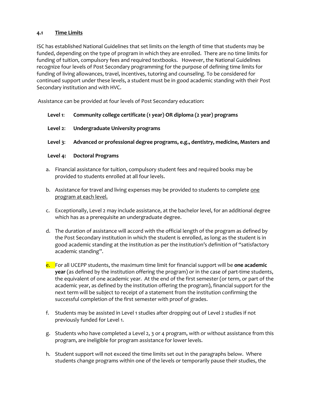#### **4.1 Time Limits**

ISC has established National Guidelines that set limits on the length of time that students may be funded, depending on the type of program in which they are enrolled. There are no time limits for funding of tuition, compulsory fees and required textbooks. However, the National Guidelines recognize four levels of Post Secondary programming for the purpose of defining time limits for funding of living allowances, travel, incentives, tutoring and counseling. To be considered for continued support under these levels, a student must be in good academic standing with their Post Secondary institution and with HVC.

Assistance can be provided at four levels of Post Secondary education:

#### **Level 1**: **Community college certificate (1 year) OR diploma (2 year) programs**

**Level 2**: **Undergraduate University programs**

#### **Level 3**: **Advanced or professional degree programs, e.g., dentistry, medicine, Masters and**

#### **Level 4: Doctoral Programs**

- a. Financial assistance for tuition, compulsory student fees and required books may be provided to students enrolled at all four levels.
- b. Assistance for travel and living expenses may be provided to students to complete one program at each level.
- c. Exceptionally, Level 2 may include assistance, at the bachelor level, for an additional degree which has as a prerequisite an undergraduate degree.
- d. The duration of assistance will accord with the official length of the program as defined by the Post Secondary institution in which the student is enrolled, as long as the student is in good academic standing at the institution as per the institution's definition of "satisfactory academic standing".
- e. For all UCEPP students, the maximum time limit for financial support will be **one academic year** (as defined by the institution offering the program) or in the case of part-time students, the equivalent of one academic year. At the end of the first semester (or term, or part of the academic year, as defined by the institution offering the program), financial support for the next term will be subject to receipt of a statement from the institution confirming the successful completion of the first semester with proof of grades.
- f. Students may be assisted in Level 1 studies after dropping out of Level 2 studies if not previously funded for Level 1.
- g. Students who have completed a Level 2, 3 or 4 program, with or without assistance from this program, are ineligible for program assistance for lower levels.
- h. Student support will not exceed the time limits set out in the paragraphs below. Where students change programs within one of the levels or temporarily pause their studies, the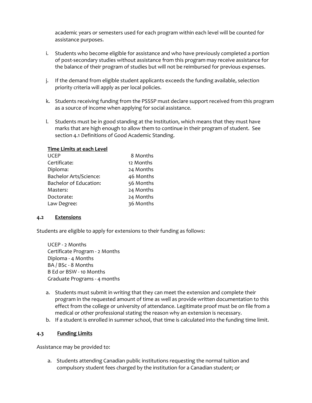academic years or semesters used for each program within each level will be counted for assistance purposes.

- i. Students who become eligible for assistance and who have previously completed a portion of post-secondary studies without assistance from this program may receive assistance for the balance of their program of studies but will not be reimbursed for previous expenses.
- j. If the demand from eligible student applicants exceeds the funding available, selection priority criteria will apply as per local policies.
- k. Students receiving funding from the PSSSP must declare support received from this program as a source of income when applying for social assistance.
- l. Students must be in good standing at the Institution, which means that they must have marks that are high enough to allow them to continue in their program of student. See section 4.1 Definitions of Good Academic Standing.

| Time Limits at each Level |           |
|---------------------------|-----------|
| UCEP                      | 8 Months  |
| Certificate:              | 12 Months |
| Diploma:                  | 24 Months |
| Bachelor Arts/Science:    | 46 Months |
| Bachelor of Education:    | 56 Months |

Masters: 24 Months Doctorate: 24 Months Law Degree: 36 Months

#### **4.2 Extensions**

Students are eligible to apply for extensions to their funding as follows:

UCEP - 2 Months Certificate Program - 2 Months Diploma - 4 Months BA / BSc - 8 Months B Ed or BSW - 10 Months Graduate Programs - 4 months

- a. Students must submit in writing that they can meet the extension and complete their program in the requested amount of time as well as provide written documentation to this effect from the college or university of attendance. Legitimate proof must be on file from a medical or other professional stating the reason why an extension is necessary.
- b. If a student is enrolled in summer school, that time is calculated into the funding time limit.

#### **4.3 Funding Limits**

Assistance may be provided to:

a. Students attending Canadian public institutions requesting the normal tuition and compulsory student fees charged by the institution for a Canadian student; or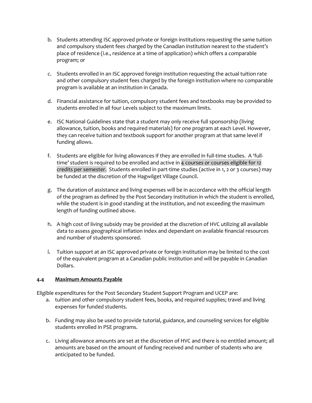- b. Students attending ISC approved private or foreign institutions requesting the same tuition and compulsory student fees charged by the Canadian institution nearest to the student's place of residence (i.e., residence at a time of application) which offers a comparable program; or
- c. Students enrolled in an ISC approved foreign institution requesting the actual tuition rate and other compulsory student fees charged by the foreign institution where no comparable program is available at an institution in Canada.
- d. Financial assistance for tuition, compulsory student fees and textbooks may be provided to students enrolled in all four Levels subject to the maximum limits.
- e. ISC National Guidelines state that a student may only receive full sponsorship (living allowance, tuition, books and required materials) for one program at each Level. However, they can receive tuition and textbook support for another program at that same level if funding allows.
- f. Students are eligible for living allowances if they are enrolled in full-time studies. A 'fulltime' student is required to be enrolled and active in 4 courses or courses eligible for 12 credits per semester. Students enrolled in part-time studies (active in 1, 2 or 3 courses) may be funded at the discretion of the Hagwilget Village Council.
- g. The duration of assistance and living expenses will be in accordance with the official length of the program as defined by the Post Secondary institution in which the student is enrolled, while the student is in good standing at the institution, and not exceeding the maximum length of funding outlined above.
- h. A high cost of living subsidy may be provided at the discretion of HVC utilizing all available data to assess geographical inflation index and dependant on available financial resources and number of students sponsored.
- i. Tuition support at an ISC approved private or foreign institution may be limited to the cost of the equivalent program at a Canadian public institution and will be payable in Canadian Dollars.

#### **4.4 Maximum Amounts Payable**

Eligible expenditures for the Post Secondary Student Support Program and UCEP are:

- a. tuition and other compulsory student fees, books, and required supplies; travel and living expenses for funded students.
- b. Funding may also be used to provide tutorial, guidance, and counseling services for eligible students enrolled in PSE programs.
- c. Living allowance amounts are set at the discretion of HVC and there is no entitled amount; all amounts are based on the amount of funding received and number of students who are anticipated to be funded.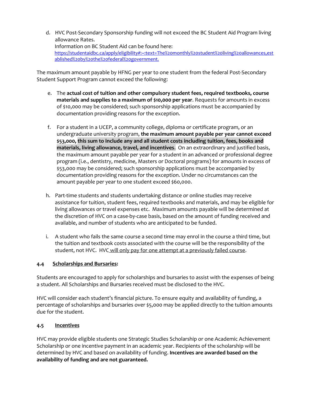d. HVC Post-Secondary Sponsorship funding will not exceed the BC Student Aid Program living allowance Rates. Information on BC Student Aid can be found here: [https://studentaidbc.ca/apply/eligibility#:~:text=The%20monthly%20student%20living%20allowances,est](https://studentaidbc.ca/apply/eligibility#:~:text=The%20monthly%20student%20living%20allowances,established%20by%20the%20federal%20government.) [ablished%20by%20the%20federal%20government.](https://studentaidbc.ca/apply/eligibility#:~:text=The%20monthly%20student%20living%20allowances,established%20by%20the%20federal%20government.)

The maximum amount payable by HFNG per year to one student from the federal Post-Secondary Student Support Program cannot exceed the following:

- e. The **actual cost of tuition and other compulsory student fees, required textbooks, course materials and supplies to a maximum of \$10,000 per year**. Requests for amounts in excess of \$10,000 may be considered; such sponsorship applications must be accompanied by documentation providing reasons for the exception.
- f. For a student in a UCEP, a community college, diploma or certificate program, or an undergraduate university program, **the maximum amount payable per year cannot exceed \$53,000, this sum to include any and all student costs including tuition, fees, books and materials, living allowance, travel, and incentives**. On an extraordinary and justified basis, the maximum amount payable per year for a student in an advanced or professional degree program (i.e., dentistry, medicine, Masters or Doctoral programs) for amounts in excess of \$53,000 may be considered; such sponsorship applications must be accompanied by documentation providing reasons for the exception. Under no circumstances can the amount payable per year to one student exceed \$60,000.
- h. Part-time students and students undertaking distance or online studies may receive assistance for tuition, student fees, required textbooks and materials, and may be eligible for living allowances or travel expenses etc. Maximum amounts payable will be determined at the discretion of HVC on a case-by-case basis, based on the amount of funding received and available, and number of students who are anticipated to be funded.
- i. A student who fails the same course a second time may enrol in the course a third time, but the tuition and textbook costs associated with the course will be the responsibility of the student, not HVC. HVC will only pay for one attempt at a previously failed course.

#### **4.4 Scholarships and Bursaries:**

Students are encouraged to apply for scholarships and bursaries to assist with the expenses of being a student. All Scholarships and Bursaries received must be disclosed to the HVC.

HVC will consider each student's financial picture. To ensure equity and availability of funding, a percentage of scholarships and bursaries over \$5,000 may be applied directly to the tuition amounts due for the student.

#### **4.5 Incentives**

HVC may provide eligible students one Strategic Studies Scholarship or one Academic Achievement Scholarship or one incentive payment in an academic year. Recipients of the scholarship will be determined by HVC and based on availability of funding. **Incentives are awarded based on the availability of funding and are not guaranteed.**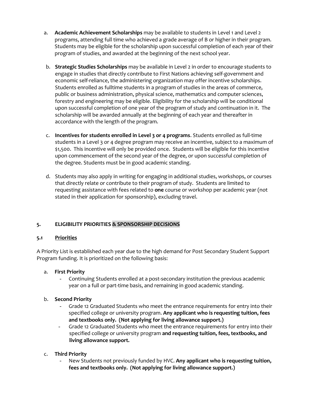- a. **Academic Achievement Scholarships** may be available to students in Level 1 and Level 2 programs, attending full time who achieved a grade average of B or higher in their program. Students may be eligible for the scholarship upon successful completion of each year of their program of studies, and awarded at the beginning of the next school year.
- b. **Strategic Studies Scholarships** may be available in Level 2 in order to encourage students to engage in studies that directly contribute to First Nations achieving self-government and economic self-reliance, the administering organization may offer incentive scholarships. Students enrolled as fulltime students in a program of studies in the areas of commerce, public or business administration, physical science, mathematics and computer sciences, forestry and engineering may be eligible. Eligibility for the scholarship will be conditional upon successful completion of one year of the program of study and continuation in it. The scholarship will be awarded annually at the beginning of each year and thereafter in accordance with the length of the program.
- c. **Incentives for students enrolled in Level 3 or 4 programs**. Students enrolled as full-time students in a Level 3 or 4 degree program may receive an incentive, subject to a maximum of \$1,500. This incentive will only be provided once. Students will be eligible for this incentive upon commencement of the second year of the degree, or upon successful completion of the degree. Students must be in good academic standing.
- d. Students may also apply in writing for engaging in additional studies, workshops, or courses that directly relate or contribute to their program of study. Students are limited to requesting assistance with fees related to **one** course or workshop per academic year (not stated in their application for sponsorship), excluding travel.

#### **5. ELIGIBILITY PRIORITIES & SPONSORSHIP DECISIONS**

#### **5.1 Priorities**

A Priority List is established each year due to the high demand for Post Secondary Student Support Program funding. It is prioritized on the following basis:

#### a. **First Priority**

- Continuing Students enrolled at a post-secondary institution the previous academic year on a full or part-time basis, and remaining in good academic standing.

#### b. **Second Priority**

- Grade 12 Graduated Students who meet the entrance requirements for entry into their specified college or university program. **Any applicant who is requesting tuition, fees and textbooks only. (Not applying for living allowance support.)**
- Grade 12 Graduated Students who meet the entrance requirements for entry into their specified college or university program **and requesting tuition, fees, textbooks, and living allowance support.**
- c. **Third Priority**
	- New Students not previously funded by HVC. **Any applicant who is requesting tuition, fees and textbooks only. (Not applying for living allowance support.)**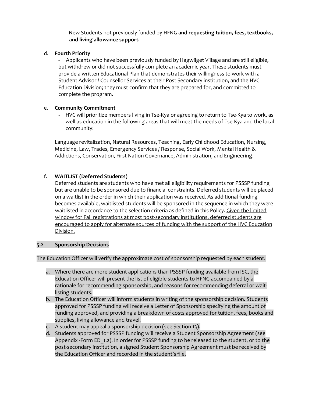- New Students not previously funded by HFNG **and requesting tuition, fees, textbooks, and living allowance support.** 

#### d. **Fourth Priority**

- Applicants who have been previously funded by Hagwilget Village and are still eligible, but withdrew or did not successfully complete an academic year. These students must provide a written Educational Plan that demonstrates their willingness to work with a Student Advisor / Counsellor Services at their Post Secondary institution, and the HVC Education Division; they must confirm that they are prepared for, and committed to complete the program.

#### e. **Community Commitment**

- HVC will prioritize members living in Tse-Kya or agreeing to return to Tse-Kya to work, as well as education in the following areas that will meet the needs of Tse-Kya and the local community:

Language revitalization, Natural Resources, Teaching, Early Childhood Education, Nursing, Medicine, Law, Trades, Emergency Services / Response, Social Work, Mental Health & Addictions, Conservation, First Nation Governance, Administration, and Engineering.

#### f. **WAITLIST (Deferred Students)**

Deferred students are students who have met all eligibility requirements for PSSSP funding but are unable to be sponsored due to financial constraints. Deferred students will be placed on a waitlist in the order in which their application was received. As additional funding becomes available, waitlisted students will be sponsored in the sequence in which they were waitlisted in accordance to the selection criteria as defined in this Policy. Given the limited window for Fall registrations at most post-secondary institutions, deferred students are encouraged to apply for alternate sources of funding with the support of the HVC Education Division.

#### **5.2 Sponsorship Decisions**

The Education Officer will verify the approximate cost of sponsorship requested by each student.

- a. Where there are more student applications than PSSSP funding available from ISC, the Education Officer will present the list of eligible students to HFNG accompanied by a rationale for recommending sponsorship, and reasons for recommending deferral or waitlisting students.
- b. The Education Officer will inform students in writing of the sponsorship decision. Students approved for PSSSP funding will receive a Letter of Sponsorship specifying the amount of funding approved, and providing a breakdown of costs approved for tuition, fees, books and supplies, living allowance and travel.
- c. A student may appeal a sponsorship decision (see Section 13).
- d. Students approved for PSSSP funding will receive a Student Sponsorship Agreement (see Appendix -Form ED 1.2). In order for PSSSP funding to be released to the student, or to the post-secondary institution, a signed Student Sponsorship Agreement must be received by the Education Officer and recorded in the student's file.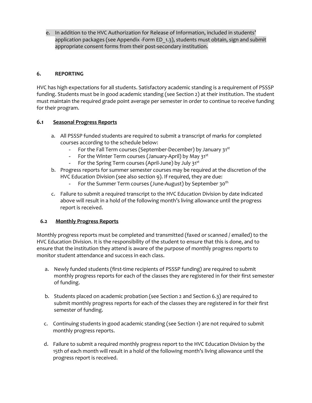e. In addition to the HVC Authorization for Release of Information, included in students' application packages (see Appendix -Form ED\_1.3), students must obtain, sign and submit appropriate consent forms from their post-secondary institution.

#### **6. REPORTING**

HVC has high expectations for all students. Satisfactory academic standing is a requirement of PSSSP funding. Students must be in good academic standing (see Section 2) at their institution. The student must maintain the required grade point average per semester in order to continue to receive funding for their program.

#### **6.1 Seasonal Progress Reports**

- a. All PSSSP funded students are required to submit a transcript of marks for completed courses according to the schedule below:
	- For the Fall Term courses (September-December) by January 31st
	- For the Winter Term courses (January-April) by May 31st
	- For the Spring Term courses (April-June) by July 31st
- b. Progress reports for summer semester courses may be required at the discretion of the HVC Education Division (see also section 9). If required, they are due:
	- For the Summer Term courses (June-August) by September 30<sup>th</sup>
- c. Failure to submit a required transcript to the HVC Education Division by date indicated above will result in a hold of the following month's living allowance until the progress report is received.

#### **6.2 Monthly Progress Reports**

Monthly progress reports must be completed and transmitted (faxed or scanned / emailed) to the HVC Education Division. It is the responsibility of the student to ensure that this is done, and to ensure that the institution they attend is aware of the purpose of monthly progress reports to monitor student attendance and success in each class.

- a. Newly funded students (first-time recipients of PSSSP funding) are required to submit monthly progress reports for each of the classes they are registered in for their first semester of funding.
- b. Students placed on academic probation (see Section 2 and Section 6.3) are required to submit monthly progress reports for each of the classes they are registered in for their first semester of funding.
- c. Continuing students in good academic standing (see Section 1) are not required to submit monthly progress reports.
- d. Failure to submit a required monthly progress report to the HVC Education Division by the 15th of each month will result in a hold of the following month's living allowance until the progress report is received.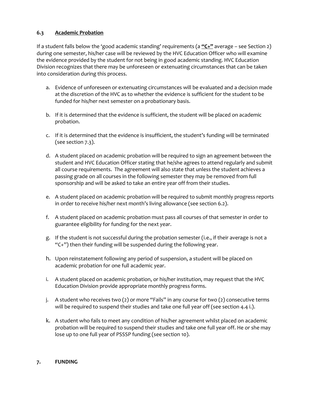#### **6.3 Academic Probation**

If a student falls below the 'good academic standing' requirements (a **"C+"** average – see Section 2) during one semester, his/her case will be reviewed by the HVC Education Officer who will examine the evidence provided by the student for not being in good academic standing. HVC Education Division recognizes that there may be unforeseen or extenuating circumstances that can be taken into consideration during this process.

- a. Evidence of unforeseen or extenuating circumstances will be evaluated and a decision made at the discretion of the HVC as to whether the evidence is sufficient for the student to be funded for his/her next semester on a probationary basis.
- b. If it is determined that the evidence is sufficient, the student will be placed on academic probation.
- c. If it is determined that the evidence is insufficient, the student's funding will be terminated (see section 7.3).
- d. A student placed on academic probation will be required to sign an agreement between the student and HVC Education Officer stating that he/she agrees to attend regularly and submit all course requirements. The agreement will also state that unless the student achieves a passing grade on all courses in the following semester they may be removed from full sponsorship and will be asked to take an entire year off from their studies.
- e. A student placed on academic probation will be required to submit monthly progress reports in order to receive his/her next month's living allowance (see section 6.2).
- f. A student placed on academic probation must pass all courses of that semester in order to guarantee eligibility for funding for the next year.
- g. If the student is not successful during the probation semester (i.e., if their average is not a "C+") then their funding will be suspended during the following year.
- h. Upon reinstatement following any period of suspension, a student will be placed on academic probation for one full academic year.
- i. A student placed on academic probation, or his/her institution, may request that the HVC Education Division provide appropriate monthly progress forms.
- j. A student who receives two (2) or more "Fails" in any course for two (2) consecutive terms will be required to suspend their studies and take one full year off (see section 4.4 i.).
- k. A student who fails to meet any condition of his/her agreement whilst placed on academic probation will be required to suspend their studies and take one full year off. He or she may lose up to one full year of PSSSP funding (see section 10).

#### **7. FUNDING**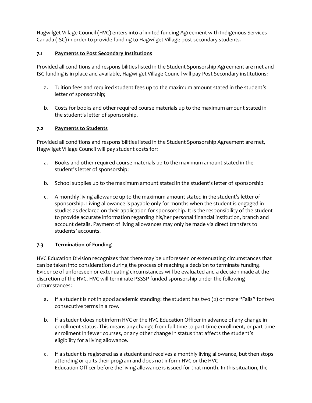Hagwilget Village Council (HVC) enters into a limited funding Agreement with Indigenous Services Canada (ISC) in order to provide funding to Hagwilget Village post secondary students.

#### **7.1 Payments to Post Secondary Institutions**

Provided all conditions and responsibilities listed in the Student Sponsorship Agreement are met and ISC funding is in place and available, Hagwilget Village Council will pay Post Secondary institutions:

- a. Tuition fees and required student fees up to the maximum amount stated in the student's letter of sponsorship;
- b. Costs for books and other required course materials up to the maximum amount stated in the student's letter of sponsorship.

#### **7.2 Payments to Students**

Provided all conditions and responsibilities listed in the Student Sponsorship Agreement are met, Hagwilget Village Council will pay student costs for:

- a. Books and other required course materials up to the maximum amount stated in the student's letter of sponsorship;
- b. School supplies up to the maximum amount stated in the student's letter of sponsorship
- c. A monthly living allowance up to the maximum amount stated in the student's letter of sponsorship. Living allowance is payable only for months when the student is engaged in studies as declared on their application for sponsorship. It is the responsibility of the student to provide accurate information regarding his/her personal financial institution, branch and account details. Payment of living allowances may only be made via direct transfers to students' accounts.

#### **7.3 Termination of Funding**

HVC Education Division recognizes that there may be unforeseen or extenuating circumstances that can be taken into consideration during the process of reaching a decision to terminate funding. Evidence of unforeseen or extenuating circumstances will be evaluated and a decision made at the discretion of the HVC. HVC will terminate PSSSP funded sponsorship under the following circumstances:

- a. If a student is not in good academic standing: the student has two (2) or more "Fails" for two consecutive terms in a row.
- b. If a student does not inform HVC or the HVC Education Officer in advance of any change in enrollment status. This means any change from full-time to part-time enrollment, or part-time enrollment in fewer courses, or any other change in status that affects the student's eligibility for a living allowance.
- c. If a student is registered as a student and receives a monthly living allowance, but then stops attending or quits their program and does not inform HVC or the HVC Education Officer before the living allowance is issued for that month. In this situation, the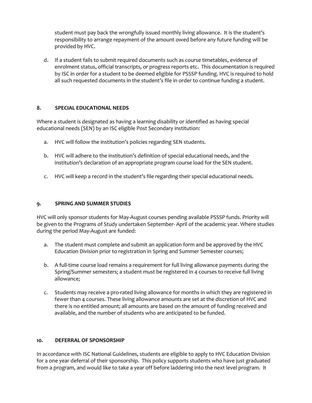student must pay back the wrongfully issued monthly living allowance. It is the student's responsibility to arrange repayment of the amount owed before any future funding will be provided by HVC.

d. If a student fails to submit required documents such as course timetables, evidence of enrolment status, official transcripts, or progress reports etc. This documentation is required by ISC in order for a student to be deemed eligible for PSSSP funding. HVC is required to hold all such requested documents in the student's file in order to continue funding a student.

#### **8. SPECIAL EDUCATIONAL NEEDS**

Where a student is designated as having a learning disability or identified as having special educational needs (SEN) by an ISC eligible Post Secondary institution:

- a. HVC will follow the institution's policies regarding SEN students.
- b. HVC will adhere to the institution's definition of special educational needs, and the institution's declaration of an appropriate program course load for the SEN student.
- c. HVC will keep a record in the student's file regarding their special educational needs.

#### **9. SPRING AND SUMMER STUDIES**

HVC will only sponsor students for May-August courses pending available PSSSP funds. Priority will be given to the Programs of Study undertaken September- April of the academic year. Where studies during the period May-August are funded:

- a. The student must complete and submit an application form and be approved by the HVC Education Division prior to registration in Spring and Summer Semester courses;
- b. A full-time course load remains a requirement for full living allowance payments during the Spring/Summer semesters; a student must be registered in 4 courses to receive full living allowance;
- c. Students may receive a pro-rated living allowance for months in which they are registered in fewer than 4 courses. These living allowance amounts are set at the discretion of HVC and there is no entitled amount; all amounts are based on the amount of funding received and available, and the number of students who are anticipated to be funded.

#### **10. DEFERRAL OF SPONSORSHIP**

In accordance with ISC National Guidelines, students are eligible to apply to HVC Education Division for a one year deferral of their sponsorship. This policy supports students who have just graduated from a program, and would like to take a year off before laddering into the next level program. It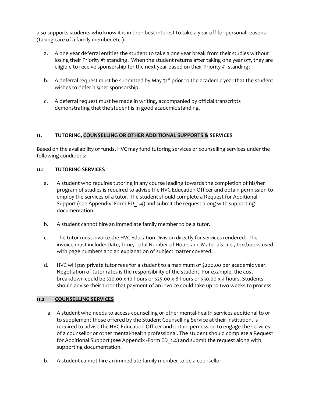also supports students who know it is in their best interest to take a year off for personal reasons (taking care of a family member etc.).

- a. A one year deferral entitles the student to take a one year break from their studies without losing their Priority #1 standing. When the student returns after taking one year off, they are eligible to receive sponsorship for the next year based on their Priority #1 standing;
- b. A deferral request must be submitted by May  $31^{st}$  prior to the academic year that the student wishes to defer his/her sponsorship.
- c. A deferral request must be made in writing, accompanied by official transcripts demonstrating that the student is in good academic standing.

#### **11. TUTORING, COUNSELLING OR OTHER ADDITIONAL SUPPORTS & SERVICES**

Based on the availability of funds, HVC may fund tutoring services or counselling services under the following conditions:

#### **11.1 TUTORING SERVICES**

- a. A student who requires tutoring in any course leading towards the completion of his/her program of studies is required to advise the HVC Education Officer and obtain permission to employ the services of a tutor. The student should complete a Request for Additional Support (see Appendix -Form ED\_1.4) and submit the request along with supporting documentation.
- b. A student cannot hire an immediate family member to be a tutor.
- c. The tutor must invoice the HVC Education Division directly for services rendered. The invoice must include: Date, Time, Total Number of Hours and Materials - i.e., textbooks used with page numbers and an explanation of subject matter covered.
- d. HVC will pay private tutor fees for a student to a maximum of \$200.00 per academic year. Negotiation of tutor rates is the responsibility of the student. For example, the cost breakdown could be \$20.00 x 10 hours or \$25.00 x 8 hours or \$50.00 x 4 hours. Students should advise their tutor that payment of an invoice could take up to two weeks to process.

#### **11.2 COUNSELLING SERVICES**

- a. A student who needs to access counselling or other mental-health services additional to or to supplement those offered by the Student Counselling Service at their institution, is required to advise the HVC Education Officer and obtain permission to engage the services of a counsellor or other mental-health professional. The student should complete a Request for Additional Support (see Appendix -Form ED\_1.4) and submit the request along with supporting documentation.
- b. A student cannot hire an immediate family member to be a counsellor.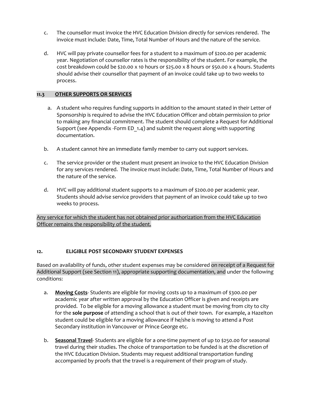- c. The counsellor must invoice the HVC Education Division directly for services rendered. The invoice must include: Date, Time, Total Number of Hours and the nature of the service.
- d. HVC will pay private counsellor fees for a student to a maximum of \$200.00 per academic year. Negotiation of counsellor rates is the responsibility of the student. For example, the cost breakdown could be \$20.00 x 10 hours or \$25.00 x 8 hours or \$50.00 x 4 hours. Students should advise their counsellor that payment of an invoice could take up to two weeks to process.

#### **11.3 OTHER SUPPORTS OR SERVICES**

- a. A student who requires funding supports in addition to the amount stated in their Letter of Sponsorship is required to advise the HVC Education Officer and obtain permission to prior to making any financial commitment. The student should complete a Request for Additional Support (see Appendix -Form ED\_1.4) and submit the request along with supporting documentation.
- b. A student cannot hire an immediate family member to carry out support services.
- c. The service provider or the student must present an invoice to the HVC Education Division for any services rendered. The invoice must include: Date, Time, Total Number of Hours and the nature of the service.
- d. HVC will pay additional student supports to a maximum of \$200.00 per academic year. Students should advise service providers that payment of an invoice could take up to two weeks to process.

Any service for which the student has not obtained prior authorization from the HVC Education Officer remains the responsibility of the student.

#### **12. ELIGIBLE POST SECONDARY STUDENT EXPENSES**

Based on availability of funds, other student expenses may be considered on receipt of a Request for Additional Support (see Section 11), appropriate supporting documentation, and under the following conditions:

- a. **Moving Costs** Students are eligible for moving costs up to a maximum of \$300.00 per academic year after written approval by the Education Officer is given and receipts are provided. To be eligible for a moving allowance a student must be moving from city to city for the **sole purpose** of attending a school that is out of their town. For example, a Hazelton student could be eligible for a moving allowance if he/she is moving to attend a Post Secondary institution in Vancouver or Prince George etc.
- b. **Seasonal Travel** Students are eligible for a one-time payment of up to \$250.00 for seasonal travel during their studies. The choice of transportation to be funded is at the discretion of the HVC Education Division. Students may request additional transportation funding accompanied by proofs that the travel is a requirement of their program of study.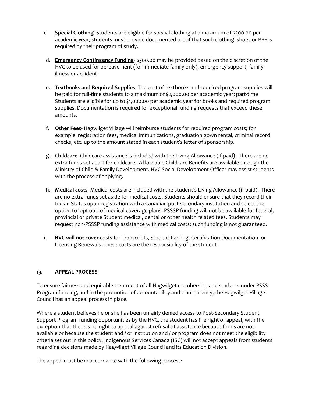- c. **Special Clothing** Students are eligible for special clothing at a maximum of \$300.00 per academic year; students must provide documented proof that such clothing, shoes or PPE is required by their program of study.
- d. **Emergency Contingency Funding** \$300.00 may be provided based on the discretion of the HVC to be used for bereavement (for immediate family only), emergency support, family illness or accident.
- e. **Textbooks and Required Supplies** The cost of textbooks and required program supplies will be paid for full-time students to a maximum of \$2,000.00 per academic year; part-time Students are eligible for up to \$1,000.00 per academic year for books and required program supplies. Documentation is required for exceptional funding requests that exceed these amounts.
- f. **Other Fees** Hagwilget Village will reimburse students for required program costs; for example, registration fees, medical immunizations, graduation gown rental, criminal record checks, etc. up to the amount stated in each student's letter of sponsorship.
- g. **Childcare** Childcare assistance is included with the Living Allowance (if paid). There are no extra funds set apart for childcare. Affordable Childcare Benefits are available through the Ministry of Child & Family Development. HVC Social Development Officer may assist students with the process of applying.
- h. **Medical costs** Medical costs are included with the student's Living Allowance (if paid). There are no extra funds set aside for medical costs. Students should ensure that they record their Indian Status upon registration with a Canadian post-secondary institution and select the option to 'opt out' of medical coverage plans. PSSSP funding will not be available for federal, provincial or private Student medical, dental or other health related fees. Students may request non-PSSSP funding assistance with medical costs; such funding is not guaranteed.
- i. **HVC will not cover** costs for Transcripts, Student Parking, Certification Documentation, or Licensing Renewals. These costs are the responsibility of the student.

#### **13. APPEAL PROCESS**

To ensure fairness and equitable treatment of all Hagwilget membership and students under PSSS Program funding, and in the promotion of accountability and transparency, the Hagwilget Village Council has an appeal process in place.

Where a student believes he or she has been unfairly denied access to Post-Secondary Student Support Program funding opportunities by the HVC, the student has the right of appeal, with the exception that there is no right to appeal against refusal of assistance because funds are not available or because the student and / or institution and / or program does not meet the eligibility criteria set out in this policy. Indigenous Services Canada (ISC) will not accept appeals from students regarding decisions made by Hagwilget Village Council and its Education Division.

The appeal must be in accordance with the following process: